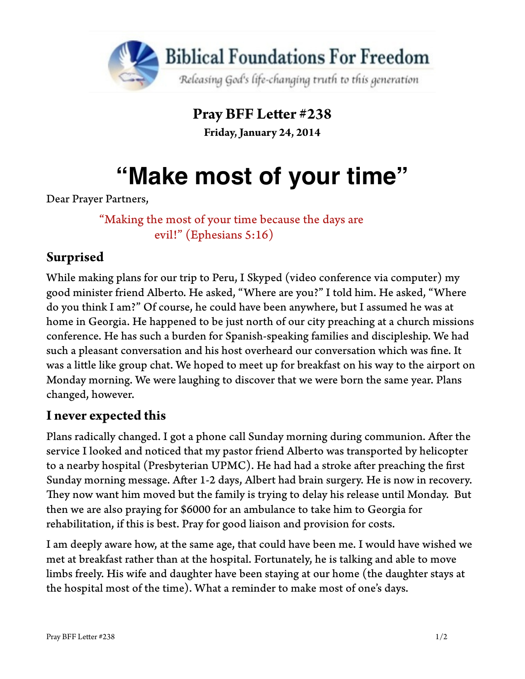

**Pray BFF Leter #238 Friday, January 24, 2014**

# **"Make most of your time"**

Dear Prayer Partners,

"Making the most of your time because the days are evil!" (Ephesians 5:16)

## **Surprised**

While making plans for our trip to Peru, I Skyped (video conference via computer) my good minister friend Alberto. He asked, "Where are you?" I told him. He asked, "Where do you think I am?" Of course, he could have been anywhere, but I assumed he was at home in Georgia. He happened to be just north of our city preaching at a church missions conference. He has such a burden for Spanish-speaking families and discipleship. We had such a pleasant conversation and his host overheard our conversation which was fne. It was a litle like group chat. We hoped to meet up for breakfast on his way to the airport on Monday morning. We were laughing to discover that we were born the same year. Plans changed, however.

#### **I never expected this**

Plans radically changed. I got a phone call Sunday morning during communion. Afer the service I looked and noticed that my pastor friend Alberto was transported by helicopter to a nearby hospital (Presbyterian UPMC). He had had a stroke after preaching the first Sunday morning message. Afer 1-2 days, Albert had brain surgery. He is now in recovery. They now want him moved but the family is trying to delay his release until Monday. But then we are also praying for \$6000 for an ambulance to take him to Georgia for rehabilitation, if this is best. Pray for good liaison and provision for costs.

I am deeply aware how, at the same age, that could have been me. I would have wished we met at breakfast rather than at the hospital. Fortunately, he is talking and able to move limbs freely. His wife and daughter have been staying at our home (the daughter stays at the hospital most of the time). What a reminder to make most of one's days.